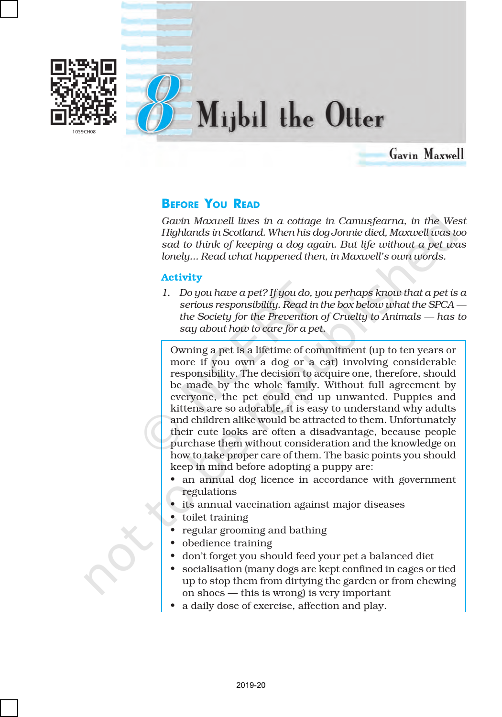

# Mijbil the Otter

Gavin Maxwell

## BEFORE YOU READ

*Gavin Maxwell lives in a cottage in Camusfearna, in the West Highlands in Scotland. When his dog Jonnie died, Maxwell was too sad to think of keeping a dog again. But life without a pet was lonely... Read what happened then, in Maxwell's own words.*

#### Activity

*1. Do you have a pet? If you do, you perhaps know that a pet is a serious responsibility. Read in the box below what the SPCA the Society for the Prevention of Cruelty to Animals — has to say about how to care for a pet.*

Owning a pet is a lifetime of commitment (up to ten years or more if you own a dog or a cat) involving considerable responsibility. The decision to acquire one, therefore, should be made by the whole family. Without full agreement by everyone, the pet could end up unwanted. Puppies and kittens are so adorable, it is easy to understand why adults and children alike would be attracted to them. Unfortunately their cute looks are often a disadvantage, because people purchase them without consideration and the knowledge on how to take proper care of them. The basic points you should keep in mind before adopting a puppy are:

- an annual dog licence in accordance with government regulations
- its annual vaccination against major diseases
- toilet training
- regular grooming and bathing
- obedience training
- don't forget you should feed your pet a balanced diet
- socialisation (many dogs are kept confined in cages or tied up to stop them from dirtying the garden or from chewing on shoes — this is wrong) is very important
- a daily dose of exercise, affection and play.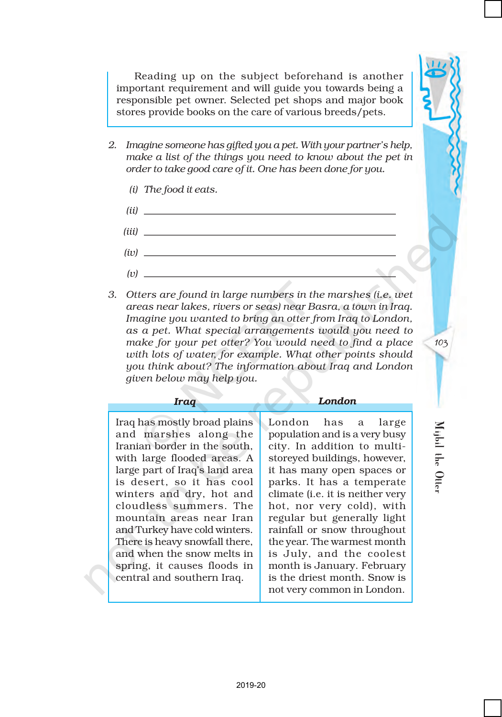Reading up on the subject beforehand is another important requirement and will guide you towards being a responsible pet owner. Selected pet shops and major book stores provide books on the care of various breeds/pets.

- *2. Imagine someone has gifted you a pet. With your partner's help, make a list of the things you need to know about the pet in order to take good care of it. One has been done for you.*
	- *(i) The food it eats. (ii) (iii) (iv) (v)*
- *3. Otters are found in large numbers in the marshes (i.e. wet areas near lakes, rivers or seas) near Basra, a town in Iraq. Imagine you wanted to bring an otter from Iraq to London, as a pet. What special arrangements would you need to make for your pet otter? You would need to find a place with lots of water, for example. What other points should you think about? The information about Iraq and London given below may help you.*

#### *Iraq*

#### *London*

Iraq has mostly broad plains and marshes along the Iranian border in the south, with large flooded areas. A large part of Iraq's land area is desert, so it has cool winters and dry, hot and cloudless summers. The mountain areas near Iran and Turkey have cold winters. There is heavy snowfall there, and when the snow melts in spring, it causes floods in central and southern Iraq.

London has a large population and is a very busy city. In addition to multistoreyed buildings, however, it has many open spaces or parks. It has a temperate climate (i.e. it is neither very hot, nor very cold), with regular but generally light rainfall or snow throughout the year. The warmest month is July, and the coolest month is January. February is the driest month. Snow is not very common in London.

Mijbil the Otter Mijbil the Otter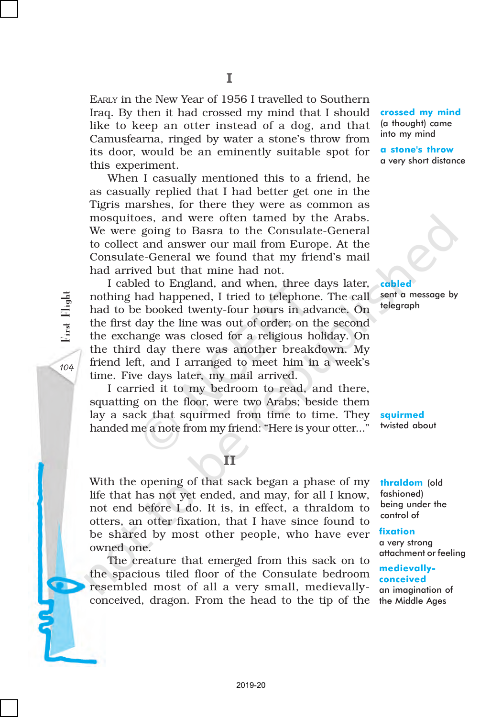I

EARLY in the New Year of 1956 I travelled to Southern Iraq. By then it had crossed my mind that I should like to keep an otter instead of a dog, and that Camusfearna, ringed by water a stone's throw from its door, would be an eminently suitable spot for this experiment.

When I casually mentioned this to a friend, he as casually replied that I had better get one in the Tigris marshes, for there they were as common as mosquitoes, and were often tamed by the Arabs. We were going to Basra to the Consulate-General to collect and answer our mail from Europe. At the Consulate-General we found that my friend's mail had arrived but that mine had not.

I cabled to England, and when, three days later, nothing had happened, I tried to telephone. The call had to be booked twenty-four hours in advance. On the first day the line was out of order; on the second the exchange was closed for a religious holiday. On the third day there was another breakdown. My friend left, and I arranged to meet him in a week's time. Five days later, my mail arrived.

I carried it to my bedroom to read, and there, squatting on the floor, were two Arabs; beside them lay a sack that squirmed from time to time. They handed me a note from my friend: "Here is your otter..."

## II

With the opening of that sack began a phase of my life that has not yet ended, and may, for all I know, not end before I do. It is, in effect, a thraldom to otters, an otter fixation, that I have since found to be shared by most other people, who have ever owned one.

The creature that emerged from this sack on to the spacious tiled floor of the Consulate bedroom resembled most of all a very small, medievallyconceived, dragon. From the head to the tip of the

crossed my mind (a thought) came into my mind

a stone's throw a very short distance



cabled sent a message by telegraph

twisted about

squirmed

thraldom (old fashioned) being under the control of

#### fixation

a very strong attachment or feeling

medievallyconceived an imagination of the Middle Ages

First Flight 104First Flight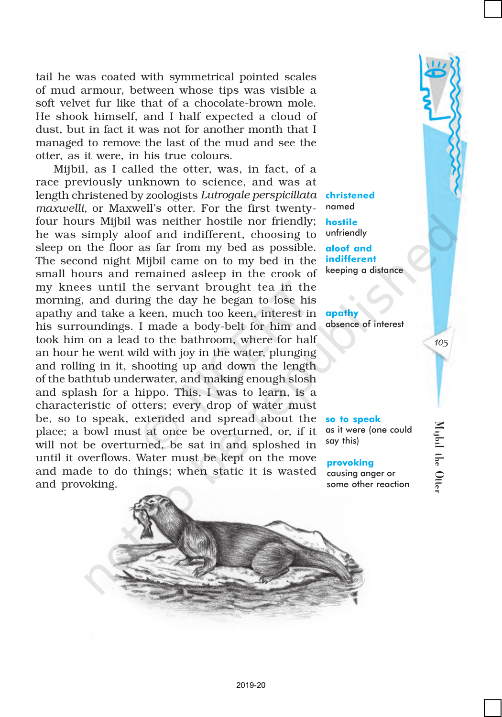tail he was coated with symmetrical pointed scales of mud armour, between whose tips was visible a soft velvet fur like that of a chocolate-brown mole. He shook himself, and I half expected a cloud of dust, but in fact it was not for another month that I managed to remove the last of the mud and see the otter, as it were, in his true colours.

Mijbil, as I called the otter, was, in fact, of a race previously unknown to science, and was at length christened by zoologists *Lutrogale perspicillata maxwelli,* or Maxwell's otter. For the first twentyfour hours Mijbil was neither hostile nor friendly; he was simply aloof and indifferent, choosing to sleep on the floor as far from my bed as possible. The second night Mijbil came on to my bed in the small hours and remained asleep in the crook of my knees until the servant brought tea in the morning, and during the day he began to lose his apathy and take a keen, much too keen, interest in his surroundings. I made a body-belt for him and took him on a lead to the bathroom, where for half an hour he went wild with joy in the water, plunging and rolling in it, shooting up and down the length of the bathtub underwater, and making enough slosh and splash for a hippo. This, I was to learn, is a characteristic of otters; every drop of water must be, so to speak, extended and spread about the place; a bowl must at once be overturned, or, if it will not be overturned, be sat in and sploshed in until it overflows. Water must be kept on the move and made to do things; when static it is wasted and provoking.

christened named hostile unfriendly aloof and indifferent keeping a distance

apathy absence of interest

## so to speak

as it were (one could say this)

#### provoking

causing anger or some other reaction Mijbil the Otter Mijbil the Otter

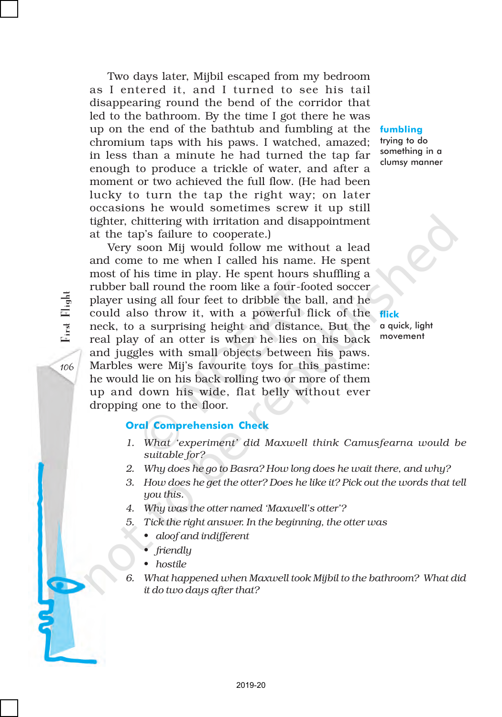Two days later, Mijbil escaped from my bedroom as I entered it, and I turned to see his tail disappearing round the bend of the corridor that led to the bathroom. By the time I got there he was up on the end of the bathtub and fumbling at the **fumbling** chromium taps with his paws. I watched, amazed; in less than a minute he had turned the tap far enough to produce a trickle of water, and after a moment or two achieved the full flow. (He had been lucky to turn the tap the right way; on later occasions he would sometimes screw it up still tighter, chittering with irritation and disappointment at the tap's failure to cooperate.)

Very soon Mij would follow me without a lead and come to me when I called his name. He spent most of his time in play. He spent hours shuffling a rubber ball round the room like a four-footed soccer player using all four feet to dribble the ball, and he could also throw it, with a powerful flick of the neck, to a surprising height and distance. But the real play of an otter is when he lies on his back and juggles with small objects between his paws. Marbles were Mij's favourite toys for this pastime: he would lie on his back rolling two or more of them up and down his wide, flat belly without ever dropping one to the floor.

trying to do something in a clumsy manner

flick a quick, light movement

#### Oral Comprehension Check

- *1. What 'experiment' did Maxwell think Camusfearna would be suitable for?*
- *2. Why does he go to Basra? How long does he wait there, and why?*
- *3. How does he get the otter? Does he like it? Pick out the words that tell you this.*
- *4. Why was the otter named 'Maxwell's otter'?*
- *5. Tick the right answer. In the beginning, the otter was*
	- *• aloof and indifferent*
	- *• friendly*
	- *• hostile*
- *6. What happened when Maxwell took Mijbil to the bathroom? What did it do two days after that?*

106First Flight First Flight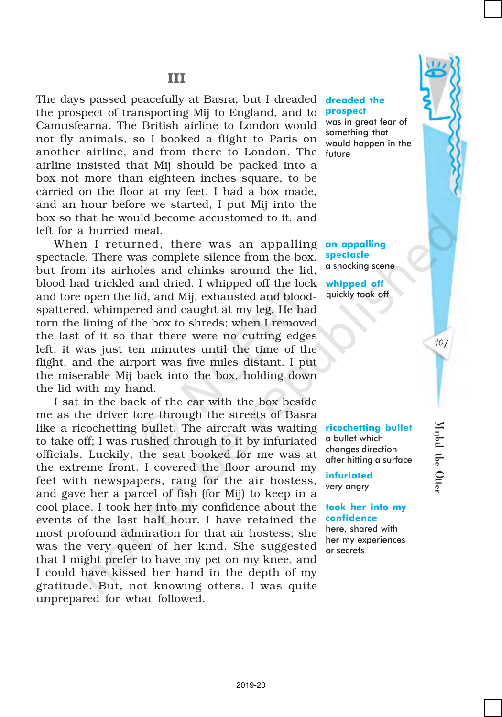The days passed peacefully at Basra, but I dreaded the prospect of transporting Mij to England, and to Camusfearna. The British airline to London would not fly animals, so I booked a flight to Paris on another airline, and from there to London. The airline insisted that Mij should be packed into a box not more than eighteen inches square, to be carried on the floor at my feet. I had a box made, and an hour before we started, I put Mij into the box so that he would become accustomed to it, and left for a hurried meal.

When I returned, there was an appalling spectacle. There was complete silence from the box, but from its airholes and chinks around the lid, blood had trickled and dried. I whipped off the lock and tore open the lid, and Mij, exhausted and bloodspattered, whimpered and caught at my leg. He had torn the lining of the box to shreds; when I removed the last of it so that there were no cutting edges left, it was just ten minutes until the time of the flight, and the airport was five miles distant. I put the miserable Mij back into the box, holding down the lid with my hand.

I sat in the back of the car with the box beside me as the driver tore through the streets of Basra like a ricochetting bullet. The aircraft was waiting to take off; I was rushed through to it by infuriated officials. Luckily, the seat booked for me was at the extreme front. I covered the floor around my feet with newspapers, rang for the air hostess, and gave her a parcel of fish (for Mij) to keep in a cool place. I took her into my confidence about the events of the last half hour. I have retained the most profound admiration for that air hostess; she was the very queen of her kind. She suggested that I might prefer to have my pet on my knee, and I could have kissed her hand in the depth of my gratitude. But, not knowing otters, I was quite unprepared for what followed.

#### dreaded the prospect

was in great fear of something that would happen in the future

an appalling spectacle a shocking scene whipped off

quickly took off

ricochetting bullet a bullet which changes direction after hitting a surface

infuriated very angry

took her into my confidence here, shared with her my experiences or secrets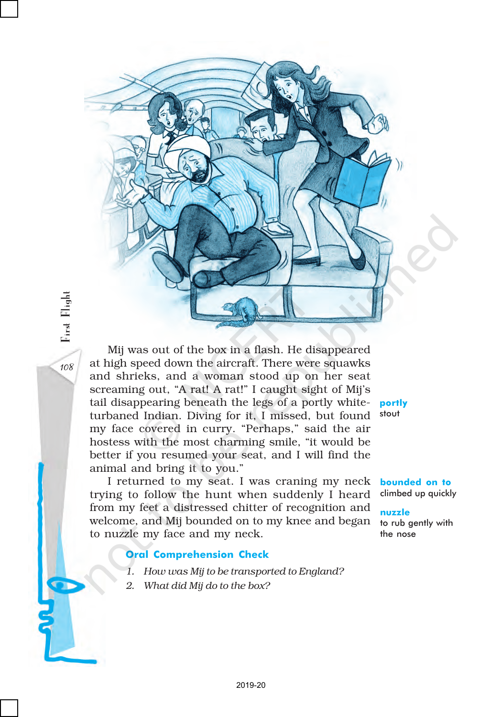First Flight 108First Flight

 $108$ 

Mij was out of the box in a flash. He disappeared at high speed down the aircraft. There were squawks and shrieks, and a woman stood up on her seat screaming out, "A rat! A rat!" I caught sight of Mij's tail disappearing beneath the legs of a portly whiteturbaned Indian. Diving for it, I missed, but found my face covered in curry. "Perhaps," said the air hostess with the most charming smile, "it would be better if you resumed your seat, and I will find the animal and bring it to you."

I returned to my seat. I was craning my neck trying to follow the hunt when suddenly I heard from my feet a distressed chitter of recognition and welcome, and Mij bounded on to my knee and began to nuzzle my face and my neck.

#### Oral Comprehension Check

- *1. How was Mij to be transported to England?*
- *2. What did Mij do to the box?*

portly stout

bounded on to climbed up quickly

#### nuzzle

to rub gently with the nose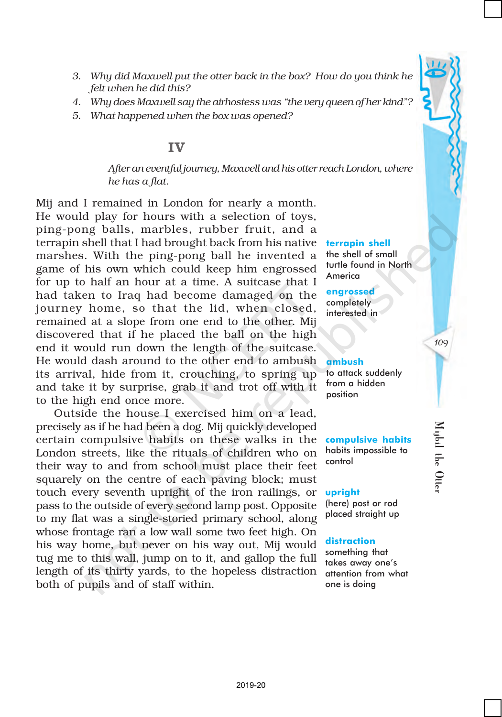

- *3. Why did Maxwell put the otter back in the box? How do you think he felt when he did this?*
- *4. Why does Maxwell say the airhostess was "the very queen of her kind"?*
- *5. What happened when the box was opened?*

### IV

### *After an eventful journey, Maxwell and his otter reach London, where he has a flat*.

Mij and I remained in London for nearly a month. He would play for hours with a selection of toys, ping-pong balls, marbles, rubber fruit, and a terrapin shell that I had brought back from his native marshes. With the ping-pong ball he invented a game of his own which could keep him engrossed for up to half an hour at a time. A suitcase that I had taken to Iraq had become damaged on the journey home, so that the lid, when closed, remained at a slope from one end to the other. Mij discovered that if he placed the ball on the high end it would run down the length of the suitcase. He would dash around to the other end to ambush its arrival, hide from it, crouching, to spring up and take it by surprise, grab it and trot off with it to the high end once more.

Outside the house I exercised him on a lead, precisely as if he had been a dog. Mij quickly developed certain compulsive habits on these walks in the London streets, like the rituals of children who on their way to and from school must place their feet squarely on the centre of each paving block; must touch every seventh upright of the iron railings, or pass to the outside of every second lamp post. Opposite to my flat was a single-storied primary school, along whose frontage ran a low wall some two feet high. On his way home, but never on his way out, Mij would tug me to this wall, jump on to it, and gallop the full length of its thirty yards, to the hopeless distraction both of pupils and of staff within.

compulsive habits habits impossible to control

to attack suddenly from a hidden position

terrapin shell the shell of small

America engrossed completely interested in

ambush

#### upright

(here) post or rod placed straight up

#### distraction

something that takes away one's attention from what one is doing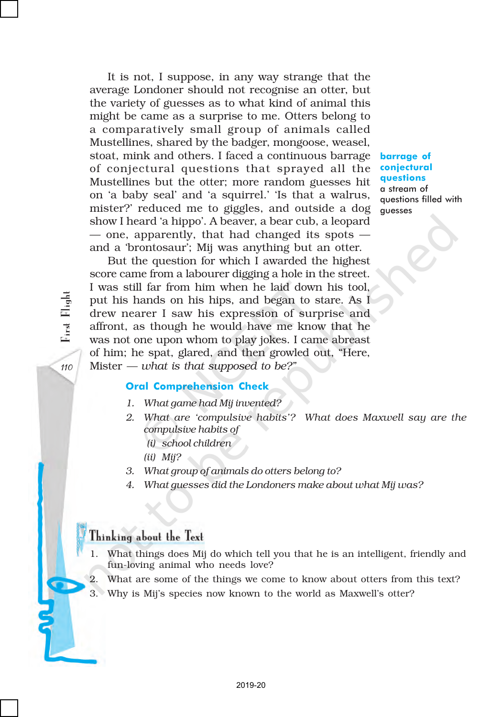It is not, I suppose, in any way strange that the average Londoner should not recognise an otter, but the variety of guesses as to what kind of animal this might be came as a surprise to me. Otters belong to a comparatively small group of animals called Mustellines, shared by the badger, mongoose, weasel, stoat, mink and others. I faced a continuous barrage barrage of of conjectural questions that sprayed all the Mustellines but the otter; more random guesses hit on 'a baby seal' and 'a squirrel.' 'Is that a walrus, mister?' reduced me to giggles, and outside a dog show I heard 'a hippo'. A beaver, a bear cub, a leopard — one, apparently, that had changed its spots and a 'brontosaur'; Mij was anything but an otter.

conjectural questions a stream of questions filled with guesses

But the question for which I awarded the highest score came from a labourer digging a hole in the street. I was still far from him when he laid down his tool, put his hands on his hips, and began to stare. As I drew nearer I saw his expression of surprise and affront, as though he would have me know that he was not one upon whom to play jokes. I came abreast of him; he spat, glared, and then growled out, "Here, Mister *— what is that supposed to be?"*

#### Oral Comprehension Check

- *1. What game had Mij invented?*
- *2. What are 'compulsive habits'? What does Maxwell say are the compulsive habits of*
	- *(i) school children*
	- *(ii) Mij?*
- *3. What group of animals do otters belong to?*
- *4. What guesses did the Londoners make about what Mij was?*

## Thinking about the Text

- 1. What things does Mij do which tell you that he is an intelligent, friendly and fun-loving animal who needs love?
- 2. What are some of the things we come to know about otters from this text?
- 3. Why is Mij's species now known to the world as Maxwell's otter?

 $110$  First Fight First Flight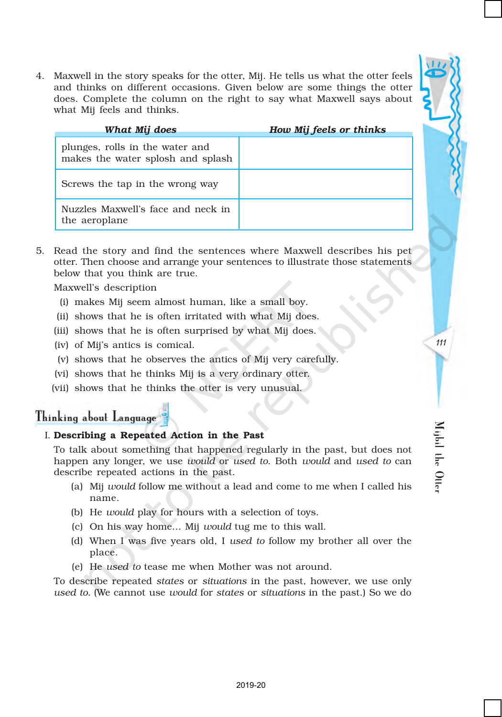- 
- 4. Maxwell in the story speaks for the otter, Mij. He tells us what the otter feels and thinks on different occasions. Given below are some things the otter does. Complete the column on the right to say what Maxwell says about what Mij feels and thinks.

| What Mij does                                                        | How Mij feels or thinks |
|----------------------------------------------------------------------|-------------------------|
| plunges, rolls in the water and<br>makes the water splosh and splash |                         |
| Screws the tap in the wrong way                                      |                         |
| Nuzzles Maxwell's face and neck in<br>the aeroplane                  |                         |

5. Read the story and find the sentences where Maxwell describes his pet otter. Then choose and arrange your sentences to illustrate those statements below that you think are true.

Maxwell's description

- (i) makes Mij seem almost human, like a small boy.
- (ii) shows that he is often irritated with what Mij does.
- (iii) shows that he is often surprised by what Mij does.
- (iv) of Mij's antics is comical.
- (v) shows that he observes the antics of Mij very carefully.
- (vi) shows that he thinks Mij is a very ordinary otter.
- (vii) shows that he thinks the otter is very unusual.

## Thinking about Language

#### I. Describing a Repeated Action in the Past

To talk about something that happened regularly in the past, but does not happen any longer, we use *would* or *used to*. Both *would* and *used to* can describe repeated actions in the past.

- (a) Mij *would* follow me without a lead and come to me when I called his name.
- (b) He *would* play for hours with a selection of toys.
- (c) On his way home… Mij *would* tug me to this wall.
- (d) When I was five years old, I *used to* follow my brother all over the place.
- (e) He *used to* tease me when Mother was not around.

To describe repeated *states* or *situations* in the past, however, we use only *used to.* (We cannot use *would* for *states* or *situations* in the past.) So we do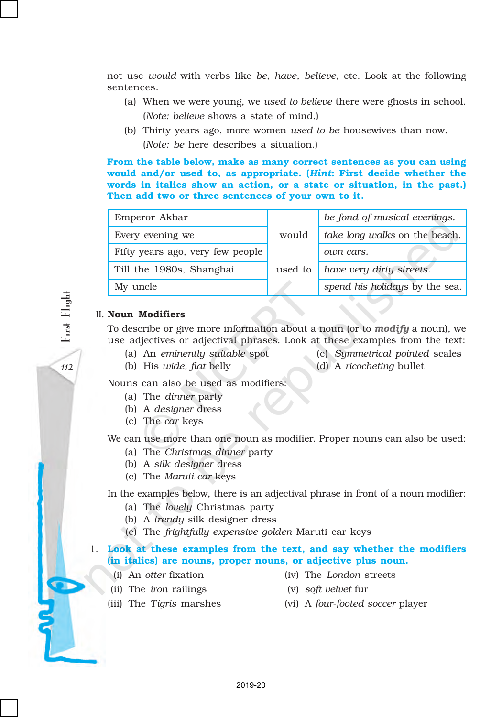not use *would* with verbs like *be*, *have*, *believe*, etc. Look at the following sentences.

- (a) When we were young, we *used to believe* there were ghosts in school.
- (*Note: believe* shows a state of mind.) (b) Thirty years ago, more women *used to be* housewives than now.

(*Note: be* here describes a situation.)

From the table below, make as many correct sentences as you can using would and/or used to, as appropriate. (*Hint*: First decide whether the words in italics show an action, or a state or situation, in the past.) Then add two or three sentences of your own to it.

| Emperor Akbar                    |         | be fond of musical evenings.   |
|----------------------------------|---------|--------------------------------|
| Every evening we                 | would   | take long walks on the beach.  |
| Fifty years ago, very few people |         | own cars.                      |
| Till the 1980s, Shanghai         | used to | have very dirty streets.       |
| My uncle                         |         | spend his holidays by the sea. |

#### II. Noun Modifiers

 $112$ First First  $112$ 

 $112$ 

First Flight

To describe or give more information about a noun (or to *modify* a noun), we use adjectives or adjectival phrases. Look at these examples from the text:

- 
- (a) An *eminently suitable* spot (c) *Symmetrical pointed* scales
- (b) His *wide, flat* belly (d) A *ricocheting* bullet

Nouns can also be used as modifiers:

- (a) The *dinner* party
- (b) A *designer* dress
- (c) The *car* keys

We can use more than one noun as modifier. Proper nouns can also be used:

- (a) The *Christmas dinner* party
- (b) A *silk designer* dress
- (c) The *Maruti car* keys

In the examples below, there is an adjectival phrase in front of a noun modifier:

- (a) The *lovely* Christmas party
- (b) A *trendy* silk designer dress
- (c) The *frightfully expensive golden* Maruti car keys
- 1. Look at these examples from the text, and say whether the modifiers (in italics) are nouns, proper nouns, or adjective plus noun.
	-
	- (i) An *otter* fixation (iv) The *London* streets
	- (ii) The *iron* railings (v) *soft velvet* fur
		-
	-
	- (iii) The *Tigris* marshes (vi) A *four-footed soccer* player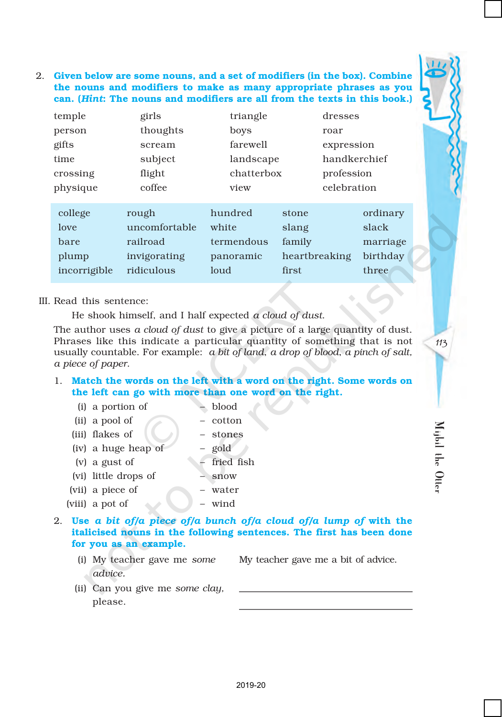2. Given below are some nouns, and a set of modifiers (in the box). Combine the nouns and modifiers to make as many appropriate phrases as you can. (*Hint*: The nouns and modifiers are all from the texts in this book.)

| temple       | girls         | triangle   |               | dresses      |          |
|--------------|---------------|------------|---------------|--------------|----------|
| person       | thoughts      | boys       |               | roar         |          |
| gifts        | scream        | farewell   |               | expression   |          |
| time         | subject       | landscape  |               | handkerchief |          |
| crossing     | flight        | chatterbox |               | profession   |          |
| physique     | coffee        | view       |               | celebration  |          |
|              |               |            |               |              |          |
| college      | rough         | hundred    | stone         |              | ordinary |
| love         | uncomfortable | white      | slang         |              | slack    |
| bare         | railroad      | termendous | family        |              | marriage |
| plump        | invigorating  | panoramic  | heartbreaking |              | birthday |
| incorrigible | ridiculous    | loud       | first         |              | three    |

#### III. Read this sentence:

He shook himself, and I half expected *a cloud of dust*.

The author uses *a cloud of dust* to give a picture of a large quantity of dust. Phrases like this indicate a particular quantity of something that is not usually countable. For example: *a bit of land*, *a drop of blood*, *a pinch of salt, a piece of paper*.

113

Mijbil the Otter

Mijbil the Otter

- 1. Match the words on the left with a word on the right. Some words on the left can go with more than one word on the right.
	- (i) a portion of blood (ii) a pool of – cotton
	- (iii) flakes of stones
	- (iv) a huge heap of gold
	- (v) a gust of fried fish
	- (vi) little drops of snow
	- (vii) a piece of water
	- (viii) a pot of wind
- 2. Use *a bit of/a piece of/a bunch of/a cloud of/a lump of* with the italicised nouns in the following sentences. The first has been done for you as an example.
	- (i) My teacher gave me *some* My teacher gave me a bit of advice. *advice.*
	- (ii) Can you give me *some clay,* please.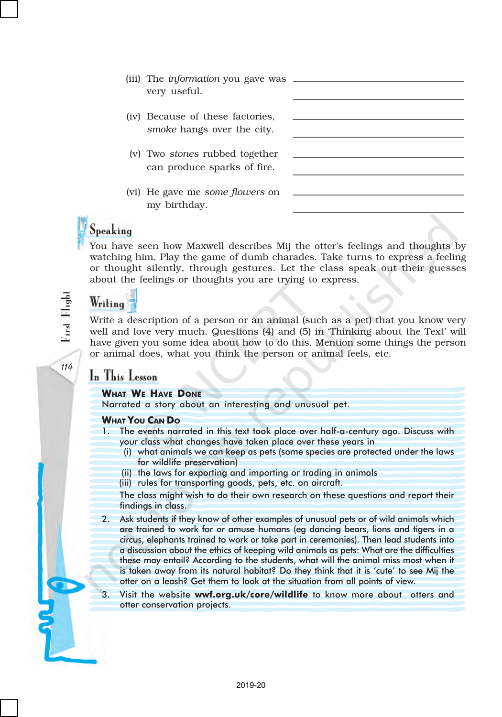- (iii) The *information* you gave was very useful.
- (iv) Because of these factories, *smoke* hangs over the city.
- (v) Two *stones* rubbed together can produce sparks of fire.
- (vi) He gave me *some flowers* on my birthday.

## Speaking

You have seen how Maxwell describes Mij the otter's feelings and thoughts by watching him. Play the game of dumb charades. Take turns to express a feeling or thought silently, through gestures. Let the class speak out their guesses about the feelings or thoughts you are trying to express.

## Writing

Write a description of a person or an animal (such as a pet) that you know very well and love very much. Questions (4) and (5) in 'Thinking about the Text' will have given you some idea about how to do this. Mention some things the person or animal does, what you think the person or animal feels, etc.

## In This Lesson

#### WHAT WE HAVE DONE

Narrated a story about an interesting and unusual pet.

#### WHAT YOU CAN D<sup>O</sup>

- 1. The events narrated in this text took place over half-a-century ago. Discuss with your class what changes have taken place over these years in
	- (i) what animals we can keep as pets (some species are protected under the laws for wildlife preservation)
	- (ii) the laws for exporting and importing or trading in animals
	- (iii) rules for transporting goods, pets, etc. on aircraft.

The class might wish to do their own research on these questions and report their findings in class.

- 2. Ask students if they know of other examples of unusual pets or of wild animals which are trained to work for or amuse humans (eg dancing bears, lions and tigers in a circus, elephants trained to work or take part in ceremonies). Then lead students into a discussion about the ethics of keeping wild animals as pets: What are the difficulties these may entail? According to the students, what will the animal miss most when it is taken away from its natural habitat? Do they think that it is 'cute' to see Mij the otter on a leash? Get them to look at the situation from all points of view.
- 3. Visit the website wwf.org.uk/core/wildlife to know more about otters and otter conservation projects.

 $11\frac{1}{11}$  First First 114

114

First Flight